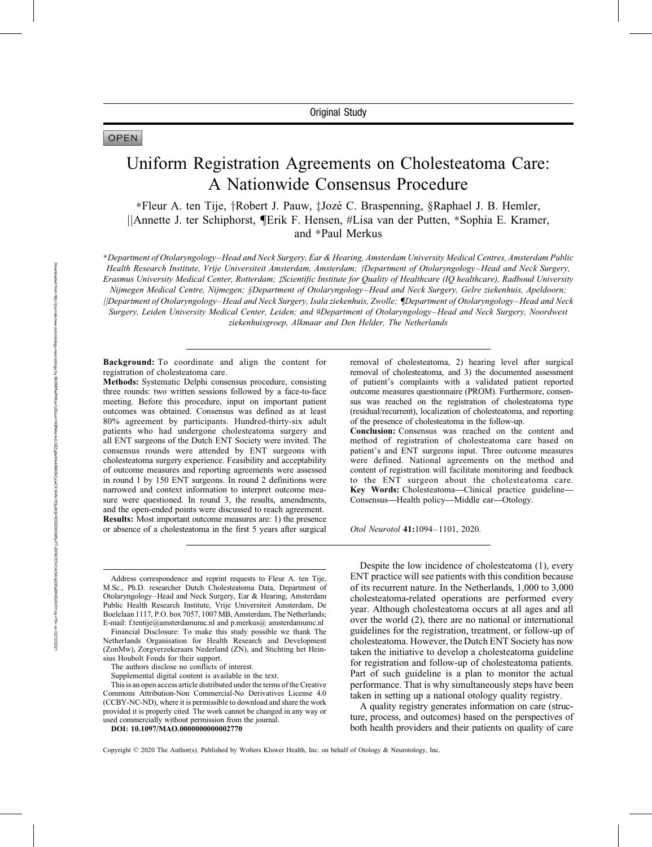# OPEN

# Uniform Registration Agreements on Cholesteatoma Care: A Nationwide Consensus Procedure

\*Fleur A. ten Tije, †Robert J. Pauw, ‡Jozé C. Braspenning, §Raphael J. B. Hemler, ||Annette J. ter Schiphorst, ¶Erik F. Hensen, #Lisa van der Putten, \*Sophia E. Kramer, and \*Paul Merkus

-Department of Otolaryngology–Head and Neck Surgery, Ear & Hearing, Amsterdam University Medical Centres, Amsterdam Public Health Research Institute, Vrije Universiteit Amsterdam, Amsterdam; †Department of Otolaryngology–Head and Neck Surgery, Erasmus University Medical Center, Rotterdam; *iScientific Institute for Quality of Healthcare (IQ healthcare)*, Radboud University Nijmegen Medical Centre, Nijmegen; §Department of Otolaryngology–Head and Neck Surgery, Gelre ziekenhuis, Apeldoorn; jjDepartment of Otolaryngology–Head and Neck Surgery, Isala ziekenhuis, Zwolle; {Department of Otolaryngology–Head and Neck

Surgery, Leiden University Medical Center, Leiden; and #Department of Otolaryngology–Head and Neck Surgery, Noordwest ziekenhuisgroep, Alkmaar and Den Helder, The Netherlands

Background: To coordinate and align the content for registration of cholesteatoma care.

Methods: Systematic Delphi consensus procedure, consisting three rounds: two written sessions followed by a face-to-face meeting. Before this procedure, input on important patient outcomes was obtained. Consensus was defined as at least 80% agreement by participants. Hundred-thirty-six adult patients who had undergone cholesteatoma surgery and all ENT surgeons of the Dutch ENT Society were invited. The consensus rounds were attended by ENT surgeons with cholesteatoma surgery experience. Feasibility and acceptability of outcome measures and reporting agreements were assessed in round 1 by 150 ENT surgeons. In round 2 definitions were narrowed and context information to interpret outcome measure were questioned. In round 3, the results, amendments, and the open-ended points were discussed to reach agreement. Results: Most important outcome measures are: 1) the presence or absence of a cholesteatoma in the first 5 years after surgical

Address correspondence and reprint requests to Fleur A. ten Tije, M.Sc., Ph.D. researcher Dutch Cholesteatoma Data, Department of Otolaryngology–Head and Neck Surgery, Ear & Hearing, Amsterdam Public Health Research Institute, Vrije Universiteit Amsterdam, De Boelelaan 1117, P.O. box 7057, 1007 MB, Amsterdam, The Netherlands; E-mail: [f.tentije@amsterdamumc.nl](mailto:f.tentije@amsterdamumc.nl) and [p.merkus@ amsterdamumc.nl](mailto:p.merkus@amsterdamumc.nl)

Financial Disclosure: To make this study possible we thank The Netherlands Organisation for Health Research and Development (ZonMw), Zorgverzekeraars Nederland (ZN), and Stichting het Heinsius Houbolt Fonds for their support.

The authors disclose no conflicts of interest.

Supplemental digital content is available in the text.

removal of cholesteatoma, 2) hearing level after surgical removal of cholesteatoma, and 3) the documented assessment of patient's complaints with a validated patient reported outcome measures questionnaire (PROM). Furthermore, consensus was reached on the registration of cholesteatoma type (residual/recurrent), localization of cholesteatoma, and reporting of the presence of cholesteatoma in the follow-up.

Conclusion: Consensus was reached on the content and method of registration of cholesteatoma care based on patient's and ENT surgeons input. Three outcome measures were defined. National agreements on the method and content of registration will facilitate monitoring and feedback to the ENT surgeon about the cholesteatoma care. Key Words: Cholesteatoma—Clinical practice guideline— Consensus—Health policy—Middle ear—Otology.

Otol Neurotol 41:1094–1101, 2020.

Despite the low incidence of cholesteatoma (1), every ENT practice will see patients with this condition because of its recurrent nature. In the Netherlands, 1,000 to 3,000 cholesteatoma-related operations are performed every year. Although cholesteatoma occurs at all ages and all over the world (2), there are no national or international guidelines for the registration, treatment, or follow-up of cholesteatoma. However, the Dutch ENT Society has now taken the initiative to develop a cholesteatoma guideline for registration and follow-up of cholesteatoma patients. Part of such guideline is a plan to monitor the actual performance. That is why simultaneously steps have been taken in setting up a national otology quality registry.

A quality registry generates information on care (structure, process, and outcomes) based on the perspectives of both health providers and their patients on quality of care

This is an open access article distributed under the terms of the Creative Commons Attribution-Non Commercial-No Derivatives License 4.0 (CCBY-NC-ND), where it is permissible to download and share the work provided it is properly cited. The work cannot be changed in any way or used commercially without permission from the journal.

DOI: 10.1097/MAO.0000000000002770

Copyright  $@$  2020 The Author(s). Published by Wolters Kluwer Health, Inc. on behalf of Otology & Neurotology, Inc.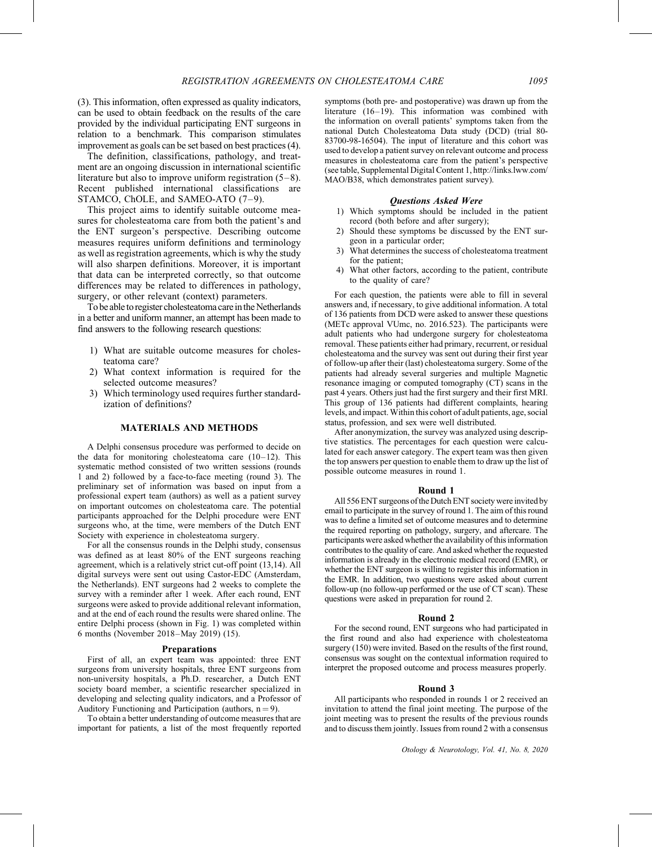(3). This information, often expressed as quality indicators, can be used to obtain feedback on the results of the care provided by the individual participating ENT surgeons in relation to a benchmark. This comparison stimulates improvement as goals can be set based on best practices (4).

The definition, classifications, pathology, and treatment are an ongoing discussion in international scientific literature but also to improve uniform registration (5–8). Recent published international classifications are STAMCO, ChOLE, and SAMEO-ATO (7–9).

This project aims to identify suitable outcome measures for cholesteatoma care from both the patient's and the ENT surgeon's perspective. Describing outcome measures requires uniform definitions and terminology as well as registration agreements, which is why the study will also sharpen definitions. Moreover, it is important that data can be interpreted correctly, so that outcome differences may be related to differences in pathology, surgery, or other relevant (context) parameters.

To be able to register cholesteatoma care in the Netherlands in a better and uniform manner, an attempt has been made to find answers to the following research questions:

- 1) What are suitable outcome measures for cholesteatoma care?
- 2) What context information is required for the selected outcome measures?
- 3) Which terminology used requires further standardization of definitions?

# MATERIALS AND METHODS

A Delphi consensus procedure was performed to decide on the data for monitoring cholesteatoma care  $(10-12)$ . This systematic method consisted of two written sessions (rounds 1 and 2) followed by a face-to-face meeting (round 3). The preliminary set of information was based on input from a professional expert team (authors) as well as a patient survey on important outcomes on cholesteatoma care. The potential participants approached for the Delphi procedure were ENT surgeons who, at the time, were members of the Dutch ENT Society with experience in cholesteatoma surgery.

For all the consensus rounds in the Delphi study, consensus was defined as at least 80% of the ENT surgeons reaching agreement, which is a relatively strict cut-off point (13,14). All digital surveys were sent out using Castor-EDC (Amsterdam, the Netherlands). ENT surgeons had 2 weeks to complete the survey with a reminder after 1 week. After each round, ENT surgeons were asked to provide additional relevant information, and at the end of each round the results were shared online. The entire Delphi process (shown in Fig. 1) was completed within 6 months (November 2018–May 2019) (15).

#### Preparations

First of all, an expert team was appointed: three ENT surgeons from university hospitals, three ENT surgeons from non-university hospitals, a Ph.D. researcher, a Dutch ENT society board member, a scientific researcher specialized in developing and selecting quality indicators, and a Professor of Auditory Functioning and Participation (authors,  $n = 9$ ).

To obtain a better understanding of outcome measures that are important for patients, a list of the most frequently reported symptoms (both pre- and postoperative) was drawn up from the literature (16–19). This information was combined with the information on overall patients' symptoms taken from the national Dutch Cholesteatoma Data study (DCD) (trial 80- 83700-98-16504). The input of literature and this cohort was used to develop a patient survey on relevant outcome and process measures in cholesteatoma care from the patient's perspective (see table, Supplemental Digital Content 1, [http://links.lww.com/](http://links.lww.com/MAO/B38) [MAO/B38,](http://links.lww.com/MAO/B38) which demonstrates patient survey).

#### Questions Asked Were

- 1) Which symptoms should be included in the patient record (both before and after surgery);
- 2) Should these symptoms be discussed by the ENT surgeon in a particular order;
- 3) What determines the success of cholesteatoma treatment for the patient;
- 4) What other factors, according to the patient, contribute to the quality of care?

For each question, the patients were able to fill in several answers and, if necessary, to give additional information. A total of 136 patients from DCD were asked to answer these questions (METc approval VUmc, no. 2016.523). The participants were adult patients who had undergone surgery for cholesteatoma removal. These patients either had primary, recurrent, or residual cholesteatoma and the survey was sent out during their first year of follow-up after their (last) cholesteatoma surgery. Some of the patients had already several surgeries and multiple Magnetic resonance imaging or computed tomography (CT) scans in the past 4 years. Others just had the first surgery and their first MRI. This group of 136 patients had different complaints, hearing levels, and impact.Within this cohort of adult patients, age, social status, profession, and sex were well distributed.

After anonymization, the survey was analyzed using descriptive statistics. The percentages for each question were calculated for each answer category. The expert team was then given the top answers per question to enable them to draw up the list of possible outcome measures in round 1.

#### Round 1

All 556 ENT surgeons of the Dutch ENT society were invited by email to participate in the survey of round 1. The aim of this round was to define a limited set of outcome measures and to determine the required reporting on pathology, surgery, and aftercare. The participants were asked whether the availability of this information contributes to the quality of care. And asked whether the requested information is already in the electronic medical record (EMR), or whether the ENT surgeon is willing to register this information in the EMR. In addition, two questions were asked about current follow-up (no follow-up performed or the use of CT scan). These questions were asked in preparation for round 2.

#### Round 2

For the second round, ENT surgeons who had participated in the first round and also had experience with cholesteatoma surgery (150) were invited. Based on the results of the first round, consensus was sought on the contextual information required to interpret the proposed outcome and process measures properly.

#### Round 3

All participants who responded in rounds 1 or 2 received an invitation to attend the final joint meeting. The purpose of the joint meeting was to present the results of the previous rounds and to discuss them jointly. Issues from round 2 with a consensus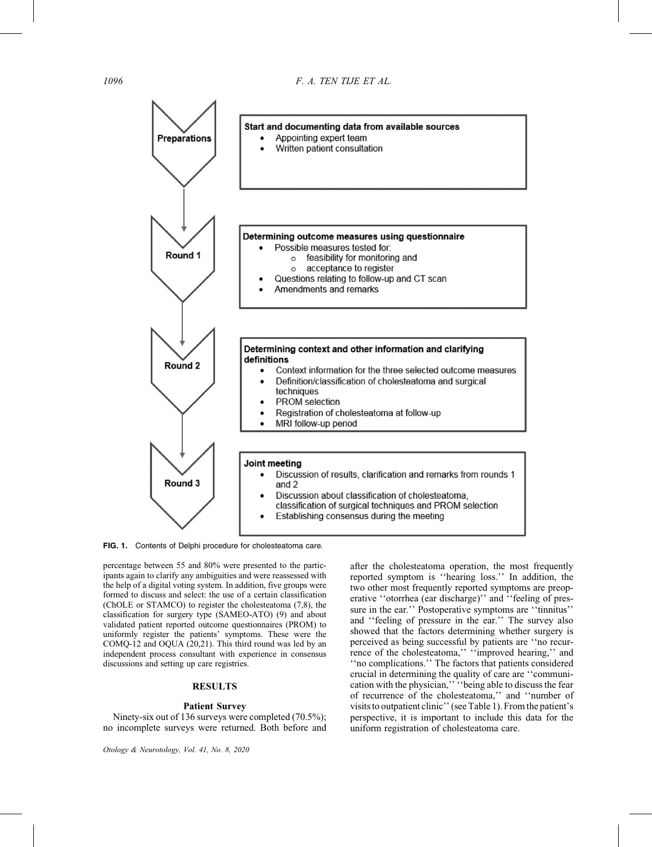

FIG. 1. Contents of Delphi procedure for cholesteatoma care.

percentage between 55 and 80% were presented to the participants again to clarify any ambiguities and were reassessed with the help of a digital voting system. In addition, five groups were formed to discuss and select: the use of a certain classification (ChOLE or STAMCO) to register the cholesteatoma (7,8), the classification for surgery type (SAMEO-ATO) (9) and about validated patient reported outcome questionnaires (PROM) to uniformly register the patients' symptoms. These were the COMQ-12 and OQUA (20,21). This third round was led by an independent process consultant with experience in consensus discussions and setting up care registries.

# **RESULTS**

# Patient Survey

Ninety-six out of 136 surveys were completed (70.5%); no incomplete surveys were returned. Both before and

after the cholesteatoma operation, the most frequently reported symptom is ''hearing loss.'' In addition, the two other most frequently reported symptoms are preoperative ''otorrhea (ear discharge)'' and ''feeling of pressure in the ear.'' Postoperative symptoms are ''tinnitus'' and ''feeling of pressure in the ear.'' The survey also showed that the factors determining whether surgery is perceived as being successful by patients are ''no recurrence of the cholesteatoma,'' ''improved hearing,'' and ''no complications.'' The factors that patients considered crucial in determining the quality of care are ''communication with the physician,'' ''being able to discuss the fear of recurrence of the cholesteatoma,'' and ''number of visits to outpatient clinic'' (see Table 1). From the patient's perspective, it is important to include this data for the uniform registration of cholesteatoma care.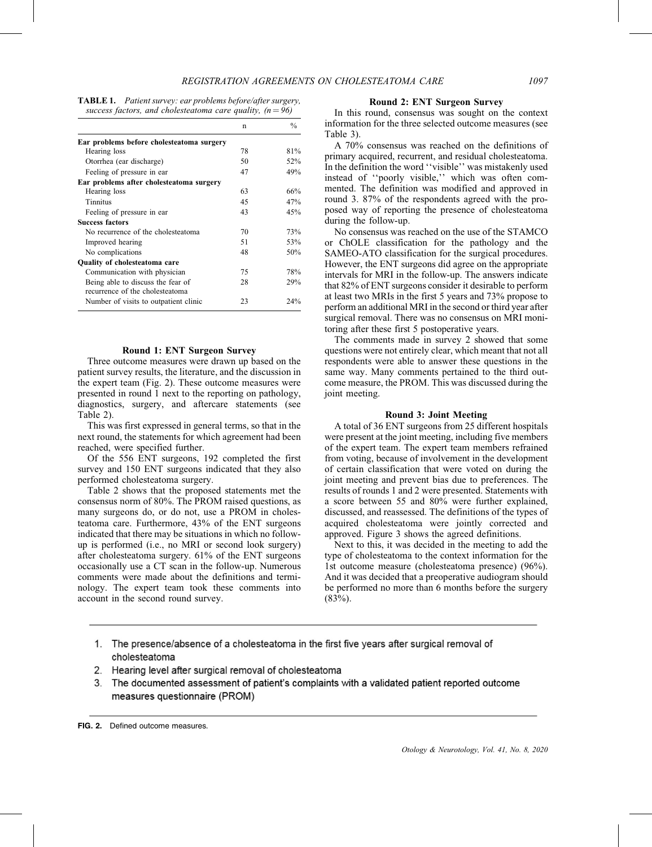| <b>TABLE 1.</b> Patient survey: ear problems before/after surgery, |  |  |  |
|--------------------------------------------------------------------|--|--|--|
| success factors, and cholesteatoma care quality, $(n=96)$          |  |  |  |

|                                                                      | n  | $\frac{0}{0}$ |
|----------------------------------------------------------------------|----|---------------|
| Ear problems before cholesteatoma surgery                            |    |               |
| Hearing loss                                                         | 78 | 81%           |
| Otorrhea (ear discharge)                                             | 50 | 52%           |
| Feeling of pressure in ear                                           | 47 | 49%           |
| Ear problems after cholesteatoma surgery                             |    |               |
| Hearing loss                                                         | 63 | 66%           |
| Tinnitus                                                             | 45 | 47%           |
| Feeling of pressure in ear                                           | 43 | 45%           |
| <b>Success factors</b>                                               |    |               |
| No recurrence of the cholesteatoma                                   | 70 | 73%           |
| Improved hearing                                                     | 51 | 53%           |
| No complications                                                     | 48 | 50%           |
| Quality of cholesteatoma care                                        |    |               |
| Communication with physician                                         | 75 | 78%           |
| Being able to discuss the fear of<br>recurrence of the cholesteatoma | 28 | 29%           |
| Number of visits to outpatient clinic                                | 23 | 24%           |

# Round 1: ENT Surgeon Survey

Three outcome measures were drawn up based on the patient survey results, the literature, and the discussion in the expert team (Fig. 2). These outcome measures were presented in round 1 next to the reporting on pathology, diagnostics, surgery, and aftercare statements (see Table 2).

This was first expressed in general terms, so that in the next round, the statements for which agreement had been reached, were specified further.

Of the 556 ENT surgeons, 192 completed the first survey and 150 ENT surgeons indicated that they also performed cholesteatoma surgery.

Table 2 shows that the proposed statements met the consensus norm of 80%. The PROM raised questions, as many surgeons do, or do not, use a PROM in cholesteatoma care. Furthermore, 43% of the ENT surgeons indicated that there may be situations in which no followup is performed (i.e., no MRI or second look surgery) after cholesteatoma surgery. 61% of the ENT surgeons occasionally use a CT scan in the follow-up. Numerous comments were made about the definitions and terminology. The expert team took these comments into account in the second round survey.

## Round 2: ENT Surgeon Survey

In this round, consensus was sought on the context information for the three selected outcome measures (see Table 3).

A 70% consensus was reached on the definitions of primary acquired, recurrent, and residual cholesteatoma. In the definition the word ''visible'' was mistakenly used instead of ''poorly visible,'' which was often commented. The definition was modified and approved in round 3. 87% of the respondents agreed with the proposed way of reporting the presence of cholesteatoma during the follow-up.

No consensus was reached on the use of the STAMCO or ChOLE classification for the pathology and the SAMEO-ATO classification for the surgical procedures. However, the ENT surgeons did agree on the appropriate intervals for MRI in the follow-up. The answers indicate that 82% of ENT surgeons consider it desirable to perform at least two MRIs in the first 5 years and 73% propose to perform an additional MRI in the second or third year after surgical removal. There was no consensus on MRI monitoring after these first 5 postoperative years.

The comments made in survey 2 showed that some questions were not entirely clear, which meant that not all respondents were able to answer these questions in the same way. Many comments pertained to the third outcome measure, the PROM. This was discussed during the joint meeting.

## Round 3: Joint Meeting

A total of 36 ENT surgeons from 25 different hospitals were present at the joint meeting, including five members of the expert team. The expert team members refrained from voting, because of involvement in the development of certain classification that were voted on during the joint meeting and prevent bias due to preferences. The results of rounds 1 and 2 were presented. Statements with a score between 55 and 80% were further explained, discussed, and reassessed. The definitions of the types of acquired cholesteatoma were jointly corrected and approved. Figure 3 shows the agreed definitions.

Next to this, it was decided in the meeting to add the type of cholesteatoma to the context information for the 1st outcome measure (cholesteatoma presence) (96%). And it was decided that a preoperative audiogram should be performed no more than 6 months before the surgery  $(83\%)$ .

- 1. The presence/absence of a cholesteatoma in the first five years after surgical removal of cholesteatoma
- 2. Hearing level after surgical removal of cholesteatoma
- 3. The documented assessment of patient's complaints with a validated patient reported outcome measures questionnaire (PROM)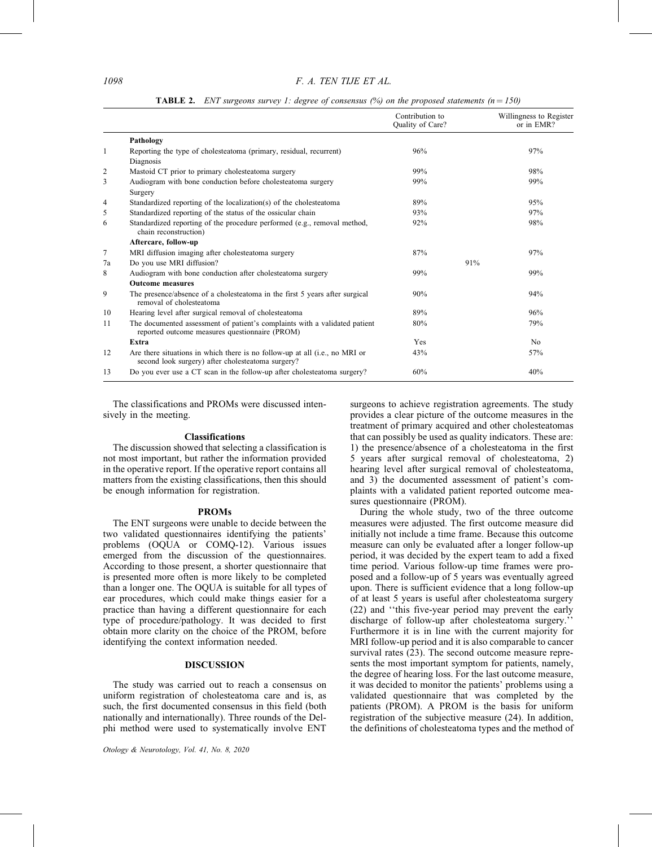|    |                                                                                                                                  | Contribution to<br>Quality of Care? |     | Willingness to Register<br>or in EMR? |
|----|----------------------------------------------------------------------------------------------------------------------------------|-------------------------------------|-----|---------------------------------------|
|    | Pathology                                                                                                                        |                                     |     |                                       |
| 1  | Reporting the type of cholesteatoma (primary, residual, recurrent)<br>Diagnosis                                                  | 96%                                 |     | 97%                                   |
| 2  | Mastoid CT prior to primary cholesteatoma surgery                                                                                | 99%                                 |     | 98%                                   |
| 3  | Audiogram with bone conduction before cholesteatoma surgery<br>Surgery                                                           | 99%                                 |     | 99%                                   |
| 4  | Standardized reporting of the localization(s) of the cholesteatoma                                                               | 89%                                 |     | 95%                                   |
| 5  | Standardized reporting of the status of the ossicular chain                                                                      | 93%                                 |     | 97%                                   |
| 6  | Standardized reporting of the procedure performed (e.g., removal method,<br>chain reconstruction)                                | 92%                                 |     | 98%                                   |
|    | Aftercare, follow-up                                                                                                             |                                     |     |                                       |
| 7  | MRI diffusion imaging after cholesteatoma surgery                                                                                | 87%                                 |     | 97%                                   |
| 7a | Do you use MRI diffusion?                                                                                                        |                                     | 91% |                                       |
| 8  | Audiogram with bone conduction after cholesteatoma surgery                                                                       | 99%                                 |     | 99%                                   |
|    | <b>Outcome measures</b>                                                                                                          |                                     |     |                                       |
| 9  | The presence/absence of a cholesteatoma in the first 5 years after surgical<br>removal of cholesteatoma                          | 90%                                 |     | 94%                                   |
| 10 | Hearing level after surgical removal of cholesteatoma                                                                            | 89%                                 |     | 96%                                   |
| 11 | The documented assessment of patient's complaints with a validated patient<br>reported outcome measures questionnaire (PROM)     | 80%                                 |     | 79%                                   |
|    | Extra                                                                                                                            | Yes                                 |     | N <sub>0</sub>                        |
| 12 | Are there situations in which there is no follow-up at all (i.e., no MRI or<br>second look surgery) after cholesteatoma surgery? | 43%                                 |     | 57%                                   |
| 13 | Do you ever use a CT scan in the follow-up after cholesteatoma surgery?                                                          | 60%                                 |     | 40%                                   |

**TABLE 2.** ENT surgeons survey 1: degree of consensus (%) on the proposed statements ( $n = 150$ )

The classifications and PROMs were discussed intensively in the meeting.

### Classifications

The discussion showed that selecting a classification is not most important, but rather the information provided in the operative report. If the operative report contains all matters from the existing classifications, then this should be enough information for registration.

#### PROMs

The ENT surgeons were unable to decide between the two validated questionnaires identifying the patients' problems (OQUA or COMQ-12). Various issues emerged from the discussion of the questionnaires. According to those present, a shorter questionnaire that is presented more often is more likely to be completed than a longer one. The OQUA is suitable for all types of ear procedures, which could make things easier for a practice than having a different questionnaire for each type of procedure/pathology. It was decided to first obtain more clarity on the choice of the PROM, before identifying the context information needed.

# DISCUSSION

The study was carried out to reach a consensus on uniform registration of cholesteatoma care and is, as such, the first documented consensus in this field (both nationally and internationally). Three rounds of the Delphi method were used to systematically involve ENT

surgeons to achieve registration agreements. The study provides a clear picture of the outcome measures in the treatment of primary acquired and other cholesteatomas that can possibly be used as quality indicators. These are: 1) the presence/absence of a cholesteatoma in the first 5 years after surgical removal of cholesteatoma, 2) hearing level after surgical removal of cholesteatoma, and 3) the documented assessment of patient's complaints with a validated patient reported outcome measures questionnaire (PROM).

During the whole study, two of the three outcome measures were adjusted. The first outcome measure did initially not include a time frame. Because this outcome measure can only be evaluated after a longer follow-up period, it was decided by the expert team to add a fixed time period. Various follow-up time frames were proposed and a follow-up of 5 years was eventually agreed upon. There is sufficient evidence that a long follow-up of at least 5 years is useful after cholesteatoma surgery (22) and ''this five-year period may prevent the early discharge of follow-up after cholesteatoma surgery.'' Furthermore it is in line with the current majority for MRI follow-up period and it is also comparable to cancer survival rates (23). The second outcome measure represents the most important symptom for patients, namely, the degree of hearing loss. For the last outcome measure, it was decided to monitor the patients' problems using a validated questionnaire that was completed by the patients (PROM). A PROM is the basis for uniform registration of the subjective measure (24). In addition, the definitions of cholesteatoma types and the method of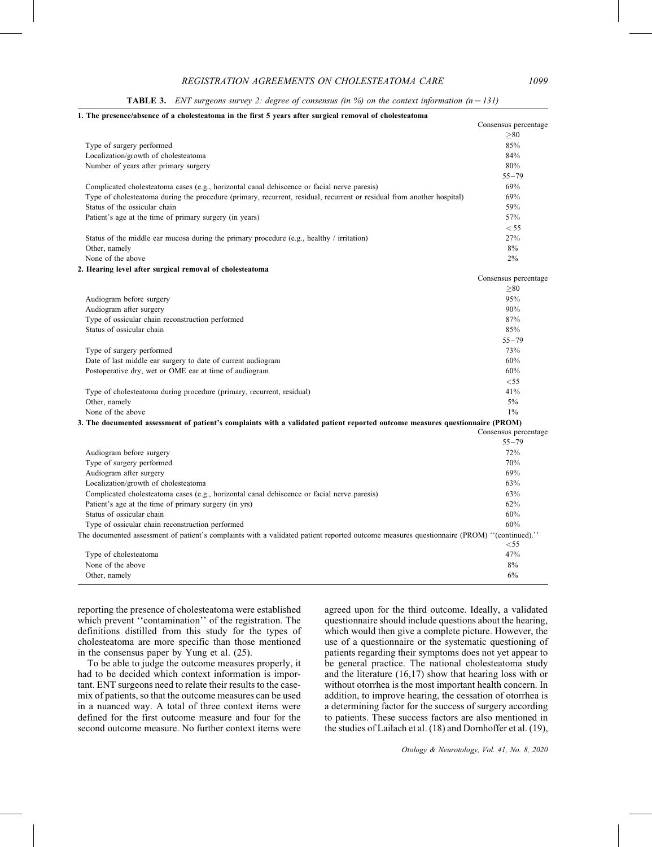## **TABLE 3.** ENT surgeons survey 2: degree of consensus (in %) on the context information  $(n = 131)$

## 1. The presence/absence of a cholesteatoma in the first 5 years after surgical removal of cholesteatoma

| > 80<br>Type of surgery performed<br>85%<br>Localization/growth of cholesteatoma<br>84%<br>Number of years after primary surgery<br>80%<br>$55 - 79$<br>Complicated cholesteatoma cases (e.g., horizontal canal dehiscence or facial nerve paresis)<br>69%<br>Type of cholesteatoma during the procedure (primary, recurrent, residual, recurrent or residual from another hospital)<br>69%<br>Status of the ossicular chain<br>59%<br>Patient's age at the time of primary surgery (in years)<br>57%<br>$<$ 55<br>27%<br>Status of the middle ear mucosa during the primary procedure (e.g., healthy / irritation)<br>8%<br>Other, namely<br>None of the above<br>2%<br>2. Hearing level after surgical removal of cholesteatoma<br>> 80<br>95%<br>Audiogram before surgery<br>Audiogram after surgery<br>90%<br>Type of ossicular chain reconstruction performed<br>87%<br>Status of ossicular chain<br>85%<br>$55 - 79$<br>73%<br>Type of surgery performed<br>Date of last middle ear surgery to date of current audiogram<br>60%<br>Postoperative dry, wet or OME ear at time of audiogram<br>60%<br>$<$ 55<br>41%<br>Type of cholesteatoma during procedure (primary, recurrent, residual)<br>$5\%$<br>Other, namely<br>None of the above<br>$1\%$<br>3. The documented assessment of patient's complaints with a validated patient reported outcome measures questionnaire (PROM)<br>Consensus percentage<br>$55 - 79$<br>Audiogram before surgery<br>72%<br>Type of surgery performed<br>70%<br>Audiogram after surgery<br>69%<br>Localization/growth of cholesteatoma<br>63%<br>63%<br>Complicated cholesteatoma cases (e.g., horizontal canal dehiscence or facial nerve paresis)<br>62%<br>Patient's age at the time of primary surgery (in yrs)<br>Status of ossicular chain<br>60%<br>60%<br>Type of ossicular chain reconstruction performed<br>The documented assessment of patient's complaints with a validated patient reported outcome measures questionnaire (PROM) "(continued)."<br>$<$ 55<br>47%<br>Type of cholesteatoma |                   | Consensus percentage |
|--------------------------------------------------------------------------------------------------------------------------------------------------------------------------------------------------------------------------------------------------------------------------------------------------------------------------------------------------------------------------------------------------------------------------------------------------------------------------------------------------------------------------------------------------------------------------------------------------------------------------------------------------------------------------------------------------------------------------------------------------------------------------------------------------------------------------------------------------------------------------------------------------------------------------------------------------------------------------------------------------------------------------------------------------------------------------------------------------------------------------------------------------------------------------------------------------------------------------------------------------------------------------------------------------------------------------------------------------------------------------------------------------------------------------------------------------------------------------------------------------------------------------------------------------------------------------------------------------------------------------------------------------------------------------------------------------------------------------------------------------------------------------------------------------------------------------------------------------------------------------------------------------------------------------------------------------------------------------------------------------------------------------------------------------|-------------------|----------------------|
|                                                                                                                                                                                                                                                                                                                                                                                                                                                                                                                                                                                                                                                                                                                                                                                                                                                                                                                                                                                                                                                                                                                                                                                                                                                                                                                                                                                                                                                                                                                                                                                                                                                                                                                                                                                                                                                                                                                                                                                                                                                  |                   |                      |
|                                                                                                                                                                                                                                                                                                                                                                                                                                                                                                                                                                                                                                                                                                                                                                                                                                                                                                                                                                                                                                                                                                                                                                                                                                                                                                                                                                                                                                                                                                                                                                                                                                                                                                                                                                                                                                                                                                                                                                                                                                                  |                   |                      |
|                                                                                                                                                                                                                                                                                                                                                                                                                                                                                                                                                                                                                                                                                                                                                                                                                                                                                                                                                                                                                                                                                                                                                                                                                                                                                                                                                                                                                                                                                                                                                                                                                                                                                                                                                                                                                                                                                                                                                                                                                                                  |                   |                      |
|                                                                                                                                                                                                                                                                                                                                                                                                                                                                                                                                                                                                                                                                                                                                                                                                                                                                                                                                                                                                                                                                                                                                                                                                                                                                                                                                                                                                                                                                                                                                                                                                                                                                                                                                                                                                                                                                                                                                                                                                                                                  |                   |                      |
|                                                                                                                                                                                                                                                                                                                                                                                                                                                                                                                                                                                                                                                                                                                                                                                                                                                                                                                                                                                                                                                                                                                                                                                                                                                                                                                                                                                                                                                                                                                                                                                                                                                                                                                                                                                                                                                                                                                                                                                                                                                  |                   |                      |
|                                                                                                                                                                                                                                                                                                                                                                                                                                                                                                                                                                                                                                                                                                                                                                                                                                                                                                                                                                                                                                                                                                                                                                                                                                                                                                                                                                                                                                                                                                                                                                                                                                                                                                                                                                                                                                                                                                                                                                                                                                                  |                   |                      |
|                                                                                                                                                                                                                                                                                                                                                                                                                                                                                                                                                                                                                                                                                                                                                                                                                                                                                                                                                                                                                                                                                                                                                                                                                                                                                                                                                                                                                                                                                                                                                                                                                                                                                                                                                                                                                                                                                                                                                                                                                                                  |                   |                      |
|                                                                                                                                                                                                                                                                                                                                                                                                                                                                                                                                                                                                                                                                                                                                                                                                                                                                                                                                                                                                                                                                                                                                                                                                                                                                                                                                                                                                                                                                                                                                                                                                                                                                                                                                                                                                                                                                                                                                                                                                                                                  |                   |                      |
|                                                                                                                                                                                                                                                                                                                                                                                                                                                                                                                                                                                                                                                                                                                                                                                                                                                                                                                                                                                                                                                                                                                                                                                                                                                                                                                                                                                                                                                                                                                                                                                                                                                                                                                                                                                                                                                                                                                                                                                                                                                  |                   |                      |
|                                                                                                                                                                                                                                                                                                                                                                                                                                                                                                                                                                                                                                                                                                                                                                                                                                                                                                                                                                                                                                                                                                                                                                                                                                                                                                                                                                                                                                                                                                                                                                                                                                                                                                                                                                                                                                                                                                                                                                                                                                                  |                   |                      |
|                                                                                                                                                                                                                                                                                                                                                                                                                                                                                                                                                                                                                                                                                                                                                                                                                                                                                                                                                                                                                                                                                                                                                                                                                                                                                                                                                                                                                                                                                                                                                                                                                                                                                                                                                                                                                                                                                                                                                                                                                                                  |                   |                      |
|                                                                                                                                                                                                                                                                                                                                                                                                                                                                                                                                                                                                                                                                                                                                                                                                                                                                                                                                                                                                                                                                                                                                                                                                                                                                                                                                                                                                                                                                                                                                                                                                                                                                                                                                                                                                                                                                                                                                                                                                                                                  |                   |                      |
|                                                                                                                                                                                                                                                                                                                                                                                                                                                                                                                                                                                                                                                                                                                                                                                                                                                                                                                                                                                                                                                                                                                                                                                                                                                                                                                                                                                                                                                                                                                                                                                                                                                                                                                                                                                                                                                                                                                                                                                                                                                  |                   |                      |
|                                                                                                                                                                                                                                                                                                                                                                                                                                                                                                                                                                                                                                                                                                                                                                                                                                                                                                                                                                                                                                                                                                                                                                                                                                                                                                                                                                                                                                                                                                                                                                                                                                                                                                                                                                                                                                                                                                                                                                                                                                                  |                   |                      |
|                                                                                                                                                                                                                                                                                                                                                                                                                                                                                                                                                                                                                                                                                                                                                                                                                                                                                                                                                                                                                                                                                                                                                                                                                                                                                                                                                                                                                                                                                                                                                                                                                                                                                                                                                                                                                                                                                                                                                                                                                                                  |                   |                      |
|                                                                                                                                                                                                                                                                                                                                                                                                                                                                                                                                                                                                                                                                                                                                                                                                                                                                                                                                                                                                                                                                                                                                                                                                                                                                                                                                                                                                                                                                                                                                                                                                                                                                                                                                                                                                                                                                                                                                                                                                                                                  |                   | Consensus percentage |
|                                                                                                                                                                                                                                                                                                                                                                                                                                                                                                                                                                                                                                                                                                                                                                                                                                                                                                                                                                                                                                                                                                                                                                                                                                                                                                                                                                                                                                                                                                                                                                                                                                                                                                                                                                                                                                                                                                                                                                                                                                                  |                   |                      |
|                                                                                                                                                                                                                                                                                                                                                                                                                                                                                                                                                                                                                                                                                                                                                                                                                                                                                                                                                                                                                                                                                                                                                                                                                                                                                                                                                                                                                                                                                                                                                                                                                                                                                                                                                                                                                                                                                                                                                                                                                                                  |                   |                      |
|                                                                                                                                                                                                                                                                                                                                                                                                                                                                                                                                                                                                                                                                                                                                                                                                                                                                                                                                                                                                                                                                                                                                                                                                                                                                                                                                                                                                                                                                                                                                                                                                                                                                                                                                                                                                                                                                                                                                                                                                                                                  |                   |                      |
|                                                                                                                                                                                                                                                                                                                                                                                                                                                                                                                                                                                                                                                                                                                                                                                                                                                                                                                                                                                                                                                                                                                                                                                                                                                                                                                                                                                                                                                                                                                                                                                                                                                                                                                                                                                                                                                                                                                                                                                                                                                  |                   |                      |
|                                                                                                                                                                                                                                                                                                                                                                                                                                                                                                                                                                                                                                                                                                                                                                                                                                                                                                                                                                                                                                                                                                                                                                                                                                                                                                                                                                                                                                                                                                                                                                                                                                                                                                                                                                                                                                                                                                                                                                                                                                                  |                   |                      |
|                                                                                                                                                                                                                                                                                                                                                                                                                                                                                                                                                                                                                                                                                                                                                                                                                                                                                                                                                                                                                                                                                                                                                                                                                                                                                                                                                                                                                                                                                                                                                                                                                                                                                                                                                                                                                                                                                                                                                                                                                                                  |                   |                      |
|                                                                                                                                                                                                                                                                                                                                                                                                                                                                                                                                                                                                                                                                                                                                                                                                                                                                                                                                                                                                                                                                                                                                                                                                                                                                                                                                                                                                                                                                                                                                                                                                                                                                                                                                                                                                                                                                                                                                                                                                                                                  |                   |                      |
|                                                                                                                                                                                                                                                                                                                                                                                                                                                                                                                                                                                                                                                                                                                                                                                                                                                                                                                                                                                                                                                                                                                                                                                                                                                                                                                                                                                                                                                                                                                                                                                                                                                                                                                                                                                                                                                                                                                                                                                                                                                  |                   |                      |
|                                                                                                                                                                                                                                                                                                                                                                                                                                                                                                                                                                                                                                                                                                                                                                                                                                                                                                                                                                                                                                                                                                                                                                                                                                                                                                                                                                                                                                                                                                                                                                                                                                                                                                                                                                                                                                                                                                                                                                                                                                                  |                   |                      |
|                                                                                                                                                                                                                                                                                                                                                                                                                                                                                                                                                                                                                                                                                                                                                                                                                                                                                                                                                                                                                                                                                                                                                                                                                                                                                                                                                                                                                                                                                                                                                                                                                                                                                                                                                                                                                                                                                                                                                                                                                                                  |                   |                      |
|                                                                                                                                                                                                                                                                                                                                                                                                                                                                                                                                                                                                                                                                                                                                                                                                                                                                                                                                                                                                                                                                                                                                                                                                                                                                                                                                                                                                                                                                                                                                                                                                                                                                                                                                                                                                                                                                                                                                                                                                                                                  |                   |                      |
|                                                                                                                                                                                                                                                                                                                                                                                                                                                                                                                                                                                                                                                                                                                                                                                                                                                                                                                                                                                                                                                                                                                                                                                                                                                                                                                                                                                                                                                                                                                                                                                                                                                                                                                                                                                                                                                                                                                                                                                                                                                  |                   |                      |
|                                                                                                                                                                                                                                                                                                                                                                                                                                                                                                                                                                                                                                                                                                                                                                                                                                                                                                                                                                                                                                                                                                                                                                                                                                                                                                                                                                                                                                                                                                                                                                                                                                                                                                                                                                                                                                                                                                                                                                                                                                                  |                   |                      |
|                                                                                                                                                                                                                                                                                                                                                                                                                                                                                                                                                                                                                                                                                                                                                                                                                                                                                                                                                                                                                                                                                                                                                                                                                                                                                                                                                                                                                                                                                                                                                                                                                                                                                                                                                                                                                                                                                                                                                                                                                                                  |                   |                      |
|                                                                                                                                                                                                                                                                                                                                                                                                                                                                                                                                                                                                                                                                                                                                                                                                                                                                                                                                                                                                                                                                                                                                                                                                                                                                                                                                                                                                                                                                                                                                                                                                                                                                                                                                                                                                                                                                                                                                                                                                                                                  |                   |                      |
|                                                                                                                                                                                                                                                                                                                                                                                                                                                                                                                                                                                                                                                                                                                                                                                                                                                                                                                                                                                                                                                                                                                                                                                                                                                                                                                                                                                                                                                                                                                                                                                                                                                                                                                                                                                                                                                                                                                                                                                                                                                  |                   |                      |
|                                                                                                                                                                                                                                                                                                                                                                                                                                                                                                                                                                                                                                                                                                                                                                                                                                                                                                                                                                                                                                                                                                                                                                                                                                                                                                                                                                                                                                                                                                                                                                                                                                                                                                                                                                                                                                                                                                                                                                                                                                                  |                   |                      |
|                                                                                                                                                                                                                                                                                                                                                                                                                                                                                                                                                                                                                                                                                                                                                                                                                                                                                                                                                                                                                                                                                                                                                                                                                                                                                                                                                                                                                                                                                                                                                                                                                                                                                                                                                                                                                                                                                                                                                                                                                                                  |                   |                      |
|                                                                                                                                                                                                                                                                                                                                                                                                                                                                                                                                                                                                                                                                                                                                                                                                                                                                                                                                                                                                                                                                                                                                                                                                                                                                                                                                                                                                                                                                                                                                                                                                                                                                                                                                                                                                                                                                                                                                                                                                                                                  |                   |                      |
|                                                                                                                                                                                                                                                                                                                                                                                                                                                                                                                                                                                                                                                                                                                                                                                                                                                                                                                                                                                                                                                                                                                                                                                                                                                                                                                                                                                                                                                                                                                                                                                                                                                                                                                                                                                                                                                                                                                                                                                                                                                  |                   |                      |
|                                                                                                                                                                                                                                                                                                                                                                                                                                                                                                                                                                                                                                                                                                                                                                                                                                                                                                                                                                                                                                                                                                                                                                                                                                                                                                                                                                                                                                                                                                                                                                                                                                                                                                                                                                                                                                                                                                                                                                                                                                                  |                   |                      |
|                                                                                                                                                                                                                                                                                                                                                                                                                                                                                                                                                                                                                                                                                                                                                                                                                                                                                                                                                                                                                                                                                                                                                                                                                                                                                                                                                                                                                                                                                                                                                                                                                                                                                                                                                                                                                                                                                                                                                                                                                                                  |                   |                      |
|                                                                                                                                                                                                                                                                                                                                                                                                                                                                                                                                                                                                                                                                                                                                                                                                                                                                                                                                                                                                                                                                                                                                                                                                                                                                                                                                                                                                                                                                                                                                                                                                                                                                                                                                                                                                                                                                                                                                                                                                                                                  |                   |                      |
|                                                                                                                                                                                                                                                                                                                                                                                                                                                                                                                                                                                                                                                                                                                                                                                                                                                                                                                                                                                                                                                                                                                                                                                                                                                                                                                                                                                                                                                                                                                                                                                                                                                                                                                                                                                                                                                                                                                                                                                                                                                  |                   |                      |
|                                                                                                                                                                                                                                                                                                                                                                                                                                                                                                                                                                                                                                                                                                                                                                                                                                                                                                                                                                                                                                                                                                                                                                                                                                                                                                                                                                                                                                                                                                                                                                                                                                                                                                                                                                                                                                                                                                                                                                                                                                                  |                   |                      |
|                                                                                                                                                                                                                                                                                                                                                                                                                                                                                                                                                                                                                                                                                                                                                                                                                                                                                                                                                                                                                                                                                                                                                                                                                                                                                                                                                                                                                                                                                                                                                                                                                                                                                                                                                                                                                                                                                                                                                                                                                                                  |                   |                      |
|                                                                                                                                                                                                                                                                                                                                                                                                                                                                                                                                                                                                                                                                                                                                                                                                                                                                                                                                                                                                                                                                                                                                                                                                                                                                                                                                                                                                                                                                                                                                                                                                                                                                                                                                                                                                                                                                                                                                                                                                                                                  |                   |                      |
|                                                                                                                                                                                                                                                                                                                                                                                                                                                                                                                                                                                                                                                                                                                                                                                                                                                                                                                                                                                                                                                                                                                                                                                                                                                                                                                                                                                                                                                                                                                                                                                                                                                                                                                                                                                                                                                                                                                                                                                                                                                  |                   |                      |
|                                                                                                                                                                                                                                                                                                                                                                                                                                                                                                                                                                                                                                                                                                                                                                                                                                                                                                                                                                                                                                                                                                                                                                                                                                                                                                                                                                                                                                                                                                                                                                                                                                                                                                                                                                                                                                                                                                                                                                                                                                                  | None of the above | 8%                   |
| 6%<br>Other, namely                                                                                                                                                                                                                                                                                                                                                                                                                                                                                                                                                                                                                                                                                                                                                                                                                                                                                                                                                                                                                                                                                                                                                                                                                                                                                                                                                                                                                                                                                                                                                                                                                                                                                                                                                                                                                                                                                                                                                                                                                              |                   |                      |

reporting the presence of cholesteatoma were established which prevent "contamination" of the registration. The definitions distilled from this study for the types of cholesteatoma are more specific than those mentioned in the consensus paper by Yung et al. (25).

To be able to judge the outcome measures properly, it had to be decided which context information is important. ENT surgeons need to relate their results to the casemix of patients, so that the outcome measures can be used in a nuanced way. A total of three context items were defined for the first outcome measure and four for the second outcome measure. No further context items were agreed upon for the third outcome. Ideally, a validated questionnaire should include questions about the hearing, which would then give a complete picture. However, the use of a questionnaire or the systematic questioning of patients regarding their symptoms does not yet appear to be general practice. The national cholesteatoma study and the literature (16,17) show that hearing loss with or without otorrhea is the most important health concern. In addition, to improve hearing, the cessation of otorrhea is a determining factor for the success of surgery according to patients. These success factors are also mentioned in the studies of Lailach et al. (18) and Dornhoffer et al. (19),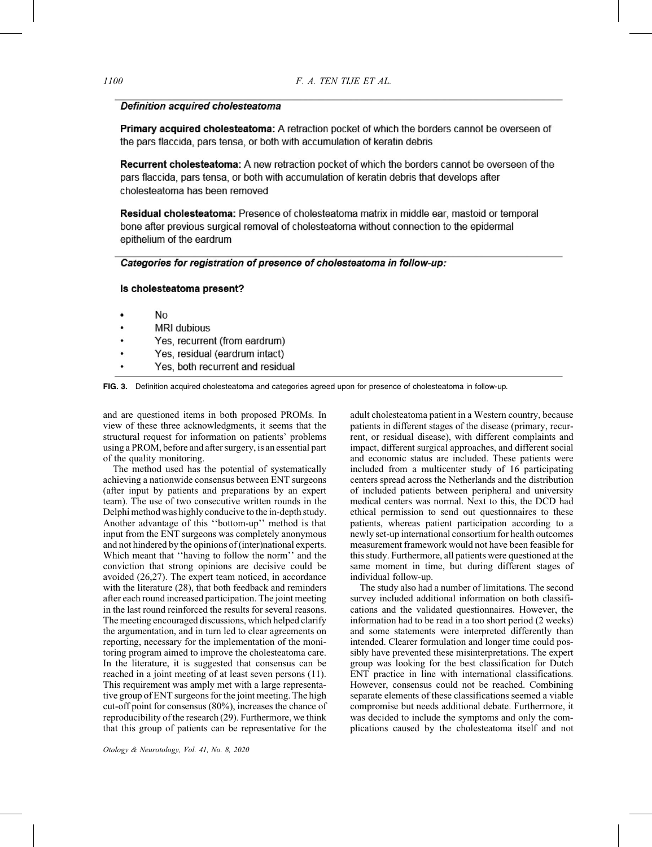# **Definition acquired cholesteatoma**

Primary acquired cholesteatoma: A retraction pocket of which the borders cannot be overseen of the pars flaccida, pars tensa, or both with accumulation of keratin debris

**Recurrent cholesteatoma:** A new retraction pocket of which the borders cannot be overseen of the pars flaccida, pars tensa, or both with accumulation of keratin debris that develops after cholesteatoma has been removed

Residual cholesteatoma: Presence of cholesteatoma matrix in middle ear, mastoid or temporal bone after previous surgical removal of cholesteatoma without connection to the epidermal epithelium of the eardrum

Categories for registration of presence of cholesteatoma in follow-up:

# Is cholesteatoma present?

- No
- **MRI** dubious
- Yes, recurrent (from eardrum)
- Yes, residual (eardrum intact)
- Yes, both recurrent and residual

FIG. 3. Definition acquired cholesteatoma and categories agreed upon for presence of cholesteatoma in follow-up.

and are questioned items in both proposed PROMs. In view of these three acknowledgments, it seems that the structural request for information on patients' problems using a PROM, before and after surgery, is an essential part of the quality monitoring.

The method used has the potential of systematically achieving a nationwide consensus between ENT surgeons (after input by patients and preparations by an expert team). The use of two consecutive written rounds in the Delphi method was highly conducive to the in-depth study. Another advantage of this ''bottom-up'' method is that input from the ENT surgeons was completely anonymous and not hindered by the opinions of (inter)national experts. Which meant that ''having to follow the norm'' and the conviction that strong opinions are decisive could be avoided (26,27). The expert team noticed, in accordance with the literature (28), that both feedback and reminders after each round increased participation. The joint meeting in the last round reinforced the results for several reasons. The meeting encouraged discussions, which helped clarify the argumentation, and in turn led to clear agreements on reporting, necessary for the implementation of the monitoring program aimed to improve the cholesteatoma care. In the literature, it is suggested that consensus can be reached in a joint meeting of at least seven persons (11). This requirement was amply met with a large representative group of ENT surgeons for the joint meeting. The high cut-off point for consensus (80%), increases the chance of reproducibility of the research (29). Furthermore, we think that this group of patients can be representative for the adult cholesteatoma patient in a Western country, because patients in different stages of the disease (primary, recurrent, or residual disease), with different complaints and impact, different surgical approaches, and different social and economic status are included. These patients were included from a multicenter study of 16 participating centers spread across the Netherlands and the distribution of included patients between peripheral and university medical centers was normal. Next to this, the DCD had ethical permission to send out questionnaires to these patients, whereas patient participation according to a newly set-up international consortium for health outcomes measurement framework would not have been feasible for this study. Furthermore, all patients were questioned at the same moment in time, but during different stages of individual follow-up.

The study also had a number of limitations. The second survey included additional information on both classifications and the validated questionnaires. However, the information had to be read in a too short period (2 weeks) and some statements were interpreted differently than intended. Clearer formulation and longer time could possibly have prevented these misinterpretations. The expert group was looking for the best classification for Dutch ENT practice in line with international classifications. However, consensus could not be reached. Combining separate elements of these classifications seemed a viable compromise but needs additional debate. Furthermore, it was decided to include the symptoms and only the complications caused by the cholesteatoma itself and not